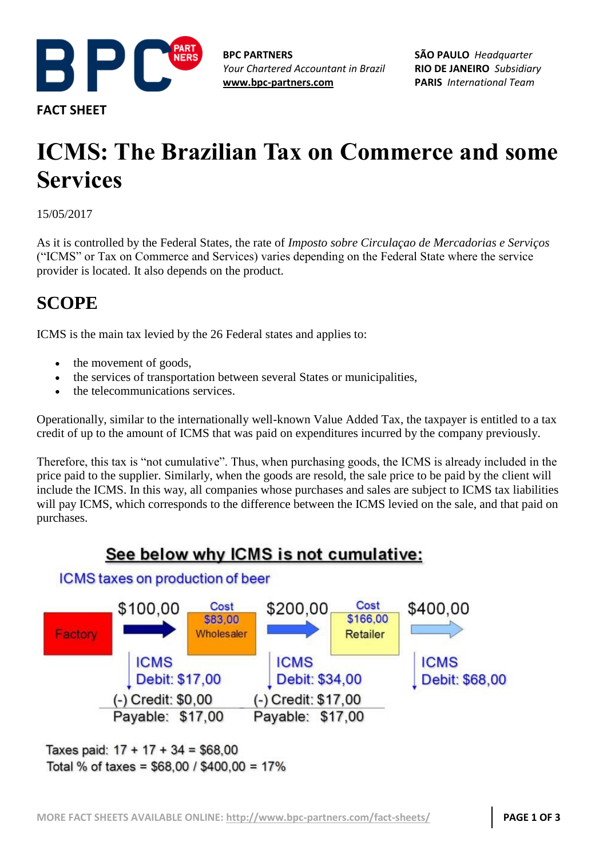

**FACT SHEET**

**BPC PARTNERS** *Your Chartered Accountant in Brazil* **[www.bpc-partners.com](http://www.bpc-partners.com/)**

**SÃO PAULO** *Headquarter* **RIO DE JANEIRO** *Subsidiary* **PARIS** *International Team*

# **ICMS: The Brazilian Tax on Commerce and some Services**

15/05/2017

As it is controlled by the Federal States, the rate of *Imposto sobre Circulaçao de Mercadorias e Serviços* ("ICMS" or Tax on Commerce and Services) varies depending on the Federal State where the service provider is located. It also depends on the product.

## **SCOPE**

ICMS is the main tax levied by the 26 Federal states and applies to:

- the movement of goods,
- the services of transportation between several States or municipalities,
- the telecommunications services.

Operationally, similar to the internationally well-known Value Added Tax, the taxpayer is entitled to a tax credit of up to the amount of ICMS that was paid on expenditures incurred by the company previously.

Therefore, this tax is "not cumulative". Thus, when purchasing goods, the ICMS is already included in the price paid to the supplier. Similarly, when the goods are resold, the sale price to be paid by the client will include the ICMS. In this way, all companies whose purchases and sales are subject to ICMS tax liabilities will pay ICMS, which corresponds to the difference between the ICMS levied on the sale, and that paid on purchases.

## See below why ICMS is not cumulative:





Taxes paid:  $17 + 17 + 34 = $68,00$ Total % of taxes =  $$68,00 / $400,00 = 17\%$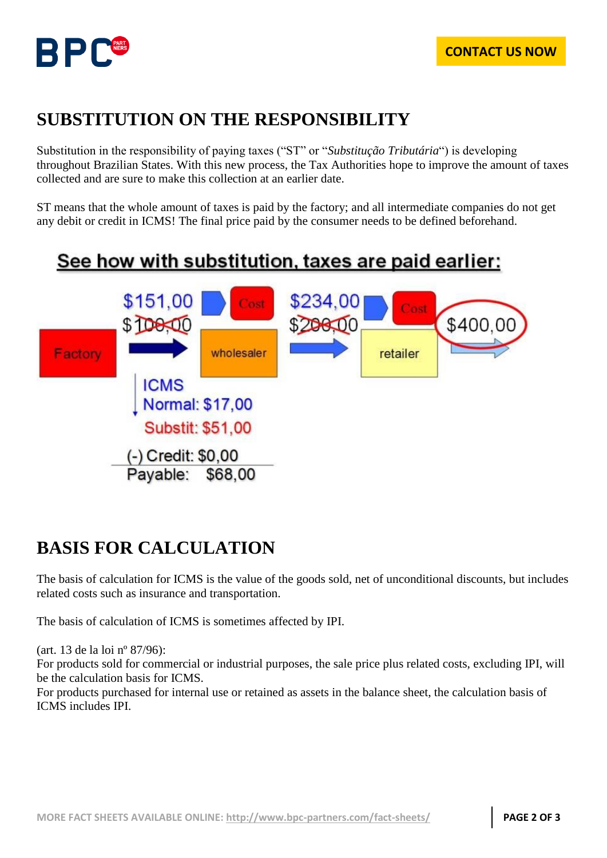

## **SUBSTITUTION ON THE RESPONSIBILITY**

Substitution in the responsibility of paying taxes ("ST" or "*Substitução Tributária*") is developing throughout Brazilian States. With this new process, the Tax Authorities hope to improve the amount of taxes collected and are sure to make this collection at an earlier date.

ST means that the whole amount of taxes is paid by the factory; and all intermediate companies do not get any debit or credit in ICMS! The final price paid by the consumer needs to be defined beforehand.

## See how with substitution, taxes are paid earlier:



## **BASIS FOR CALCULATION**

The basis of calculation for ICMS is the value of the goods sold, net of unconditional discounts, but includes related costs such as insurance and transportation.

The basis of calculation of ICMS is sometimes affected by IPI.

(art. 13 de la loi nº 87/96):

For products sold for commercial or industrial purposes, the sale price plus related costs, excluding IPI, will be the calculation basis for ICMS.

For products purchased for internal use or retained as assets in the balance sheet, the calculation basis of ICMS includes IPI.